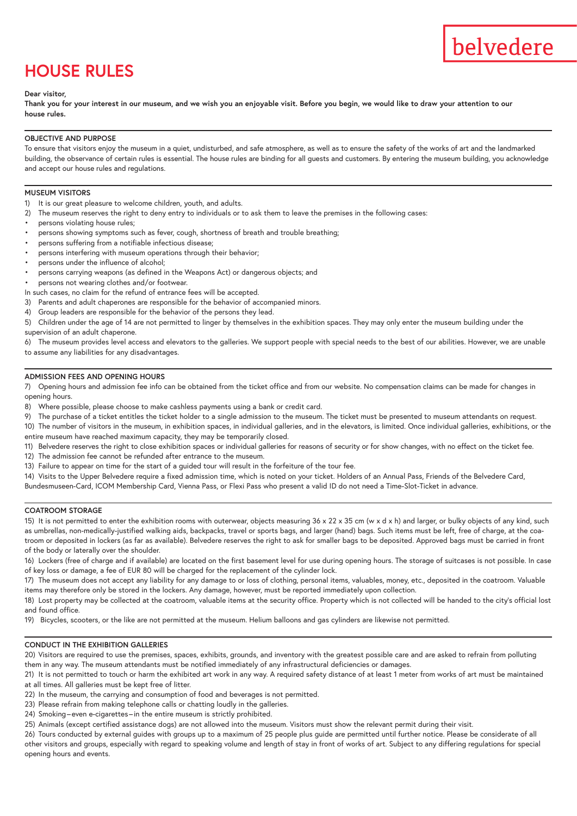# **HOUSE RULES**

## **Dear visitor,**

**Thank you for your interest in our museum, and we wish you an enjoyable visit. Before you begin, we would like to draw your attention to our house rules.**

#### **OBJECTIVE AND PURPOSE**

To ensure that visitors enjoy the museum in a quiet, undisturbed, and safe atmosphere, as well as to ensure the safety of the works of art and the landmarked building, the observance of certain rules is essential. The house rules are binding for all guests and customers. By entering the museum building, you acknowledge and accept our house rules and regulations.

#### **MUSEUM VISITORS**

- 1) It is our great pleasure to welcome children, youth, and adults.
- 2) The museum reserves the right to deny entry to individuals or to ask them to leave the premises in the following cases:
- persons violating house rules;
- persons showing symptoms such as fever, cough, shortness of breath and trouble breathing;
- persons suffering from a notifiable infectious disease;
- persons interfering with museum operations through their behavior;
- persons under the influence of alcohol;
- persons carrying weapons (as defined in the Weapons Act) or dangerous objects; and
- persons not wearing clothes and/or footwear.
- In such cases, no claim for the refund of entrance fees will be accepted.
- 3) Parents and adult chaperones are responsible for the behavior of accompanied minors.
- 4) Group leaders are responsible for the behavior of the persons they lead.
- 5) Children under the age of 14 are not permitted to linger by themselves in the exhibition spaces. They may only enter the museum building under the supervision of an adult chaperone.

6) The museum provides level access and elevators to the galleries. We support people with special needs to the best of our abilities. However, we are unable to assume any liabilities for any disadvantages.

#### **ADMISSION FEES AND OPENING HOURS**

7) Opening hours and admission fee info can be obtained from the ticket office and from our website. No compensation claims can be made for changes in opening hours.

- 8) Where possible, please choose to make cashless payments using a bank or credit card.
- 9) The purchase of a ticket entitles the ticket holder to a single admission to the museum. The ticket must be presented to museum attendants on request.
- 10) The number of visitors in the museum, in exhibition spaces, in individual galleries, and in the elevators, is limited. Once individual galleries, exhibitions, or the entire museum have reached maximum capacity, they may be temporarily closed.
- 11) Belvedere reserves the right to close exhibition spaces or individual galleries for reasons of security or for show changes, with no effect on the ticket fee.
- 12) The admission fee cannot be refunded after entrance to the museum.
- 13) Failure to appear on time for the start of a guided tour will result in the forfeiture of the tour fee.
- 14) Visits to the Upper Belvedere require a fixed admission time, which is noted on your ticket. Holders of an Annual Pass, Friends of the Belvedere Card, Bundesmuseen-Card, ICOM Membership Card, Vienna Pass, or Flexi Pass who present a valid ID do not need a Time-Slot-Ticket in advance.

# **COATROOM STORAGE**

15) It is not permitted to enter the exhibition rooms with outerwear, objects measuring 36 x 22 x 35 cm (w x d x h) and larger, or bulky objects of any kind, such as umbrellas, non-medically-justified walking aids, backpacks, travel or sports bags, and larger (hand) bags. Such items must be left, free of charge, at the coatroom or deposited in lockers (as far as available). Belvedere reserves the right to ask for smaller bags to be deposited. Approved bags must be carried in front of the body or laterally over the shoulder.

16) Lockers (free of charge and if available) are located on the first basement level for use during opening hours. The storage of suitcases is not possible. In case of key loss or damage, a fee of EUR 80 will be charged for the replacement of the cylinder lock.

17) The museum does not accept any liability for any damage to or loss of clothing, personal items, valuables, money, etc., deposited in the coatroom. Valuable items may therefore only be stored in the lockers. Any damage, however, must be reported immediately upon collection.

18) Lost property may be collected at the coatroom, valuable items at the security office. Property which is not collected will be handed to the city's official lost and found office.

19) Bicycles, scooters, or the like are not permitted at the museum. Helium balloons and gas cylinders are likewise not permitted.

#### **CONDUCT IN THE EXHIBITION GALLERIES**

20) Visitors are required to use the premises, spaces, exhibits, grounds, and inventory with the greatest possible care and are asked to refrain from polluting them in any way. The museum attendants must be notified immediately of any infrastructural deficiencies or damages.

21) It is not permitted to touch or harm the exhibited art work in any way. A required safety distance of at least 1 meter from works of art must be maintained at all times. All galleries must be kept free of litter.

22) In the museum, the carrying and consumption of food and beverages is not permitted.

23) Please refrain from making telephone calls or chatting loudly in the galleries.

24) Smoking–even e-cigarettes –in the entire museum is strictly prohibited.

25) Animals (except certified assistance dogs) are not allowed into the museum. Visitors must show the relevant permit during their visit.

26) Tours conducted by external guides with groups up to a maximum of 25 people plus guide are permitted until further notice. Please be considerate of all other visitors and groups, especially with regard to speaking volume and length of stay in front of works of art. Subject to any differing regulations for special opening hours and events.